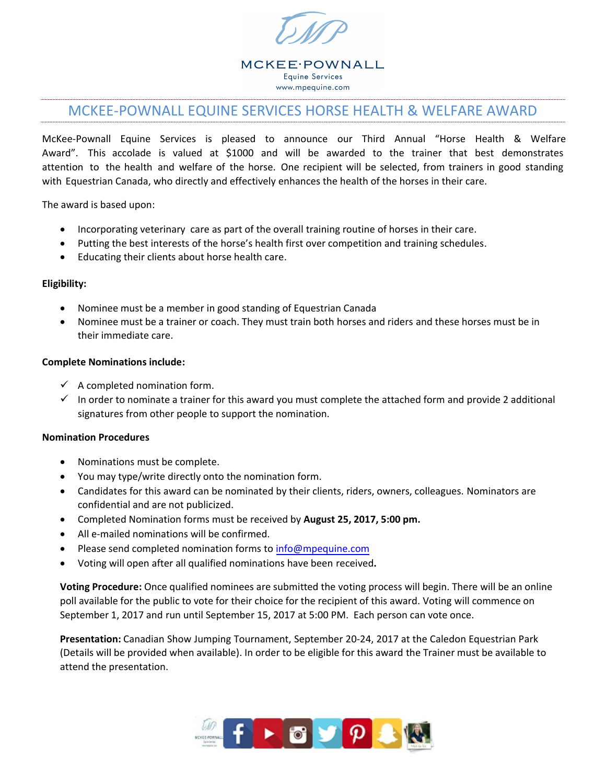

**MCKEE**·POWNALL **Equine Services** www.mpequine.com

# MCKEE-POWNALL EQUINE SERVICES HORSE HEALTH & WELFARE AWARD

McKee-Pownall Equine Services is pleased to announce our Third Annual "Horse Health & Welfare Award". This accolade is valued at \$1000 and will be awarded to the trainer that best demonstrates attention to the health and welfare of the horse. One recipient will be selected, from trainers in good standing with Equestrian Canada, who directly and effectively enhances the health of the horses in their care.

The award is based upon:

- Incorporating veterinary care as part of the overall training routine of horses in their care.
- Putting the best interests of the horse's health first over competition and training schedules.
- Educating their clients about horse health care.

#### **Eligibility:**

- Nominee must be a member in good standing of Equestrian Canada
- Nominee must be a trainer or coach. They must train both horses and riders and these horses must be in their immediate care.

#### **Complete Nominations include:**

- $\checkmark$  A completed nomination form.
- In order to nominate a trainer for this award you must complete the attached form and provide 2 additional signatures from other people to support the nomination.

#### **Nomination Procedures**

- Nominations must be complete.
- You may type/write directly onto the nomination form.
- Candidates for this award can be nominated by their clients, riders, owners, colleagues. Nominators are confidential and are not publicized.
- Completed Nomination forms must be received by **August 25, 2017, 5:00 pm.**
- All e-mailed nominations will be confirmed.
- Please send completed nomination forms to [info@mpequine.com](mailto:info@mpequine.com)
- Voting will open after all qualified nominations have been received**.**

**Voting Procedure:** Once qualified nominees are submitted the voting process will begin. There will be an online poll available for the public to vote for their choice for the recipient of this award. Voting will commence on September 1, 2017 and run until September 15, 2017 at 5:00 PM. Each person can vote once.

**Presentation:** Canadian Show Jumping Tournament, September 20-24, 2017 at the Caledon Equestrian Park (Details will be provided when available). In order to be eligible for this award the Trainer must be available to attend the presentation.